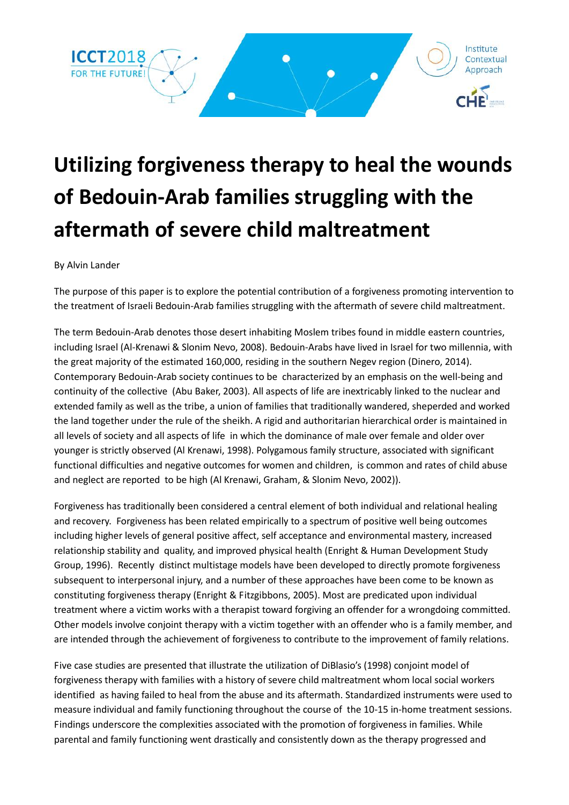

## **Utilizing forgiveness therapy to heal the wounds of Bedouin-Arab families struggling with the aftermath of severe child maltreatment**

By Alvin Lander

The purpose of this paper is to explore the potential contribution of a forgiveness promoting intervention to the treatment of Israeli Bedouin-Arab families struggling with the aftermath of severe child maltreatment.

The term Bedouin-Arab denotes those desert inhabiting Moslem tribes found in middle eastern countries, including Israel (Al-Krenawi & Slonim Nevo, 2008). Bedouin-Arabs have lived in Israel for two millennia, with the great majority of the estimated 160,000, residing in the southern Negev region (Dinero, 2014). Contemporary Bedouin-Arab society continues to be characterized by an emphasis on the well-being and continuity of the collective (Abu Baker, 2003). All aspects of life are inextricably linked to the nuclear and extended family as well as the tribe, a union of families that traditionally wandered, sheperded and worked the land together under the rule of the sheikh. A rigid and authoritarian hierarchical order is maintained in all levels of society and all aspects of life in which the dominance of male over female and older over younger is strictly observed (Al Krenawi, 1998). Polygamous family structure, associated with significant functional difficulties and negative outcomes for women and children, is common and rates of child abuse and neglect are reported to be high (Al Krenawi, Graham, & Slonim Nevo, 2002)).

Forgiveness has traditionally been considered a central element of both individual and relational healing and recovery. Forgiveness has been related empirically to a spectrum of positive well being outcomes including higher levels of general positive affect, self acceptance and environmental mastery, increased relationship stability and quality, and improved physical health (Enright & Human Development Study Group, 1996). Recently distinct multistage models have been developed to directly promote forgiveness subsequent to interpersonal injury, and a number of these approaches have been come to be known as constituting forgiveness therapy (Enright & Fitzgibbons, 2005). Most are predicated upon individual treatment where a victim works with a therapist toward forgiving an offender for a wrongdoing committed. Other models involve conjoint therapy with a victim together with an offender who is a family member, and are intended through the achievement of forgiveness to contribute to the improvement of family relations.

Five case studies are presented that illustrate the utilization of DiBlasio's (1998) conjoint model of forgiveness therapy with families with a history of severe child maltreatment whom local social workers identified as having failed to heal from the abuse and its aftermath. Standardized instruments were used to measure individual and family functioning throughout the course of the 10-15 in-home treatment sessions. Findings underscore the complexities associated with the promotion of forgiveness in families. While parental and family functioning went drastically and consistently down as the therapy progressed and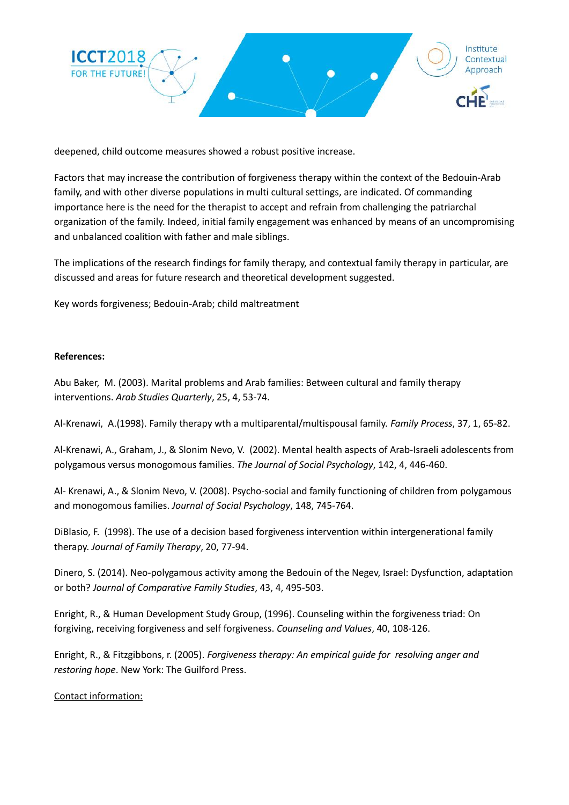

deepened, child outcome measures showed a robust positive increase.

Factors that may increase the contribution of forgiveness therapy within the context of the Bedouin-Arab family, and with other diverse populations in multi cultural settings, are indicated. Of commanding importance here is the need for the therapist to accept and refrain from challenging the patriarchal organization of the family. Indeed, initial family engagement was enhanced by means of an uncompromising and unbalanced coalition with father and male siblings.

The implications of the research findings for family therapy, and contextual family therapy in particular, are discussed and areas for future research and theoretical development suggested.

Key words forgiveness; Bedouin-Arab; child maltreatment

## **References:**

Abu Baker, M. (2003). Marital problems and Arab families: Between cultural and family therapy interventions. *Arab Studies Quarterly*, 25, 4, 53-74.

Al-Krenawi, A.(1998). Family therapy wth a multiparental/multispousal family. *Family Process*, 37, 1, 65-82.

Al-Krenawi, A., Graham, J., & Slonim Nevo, V. (2002). Mental health aspects of Arab-Israeli adolescents from polygamous versus monogomous families. *The Journal of Social Psychology*, 142, 4, 446-460.

Al- Krenawi, A., & Slonim Nevo, V. (2008). Psycho-social and family functioning of children from polygamous and monogomous families. *Journal of Social Psychology*, 148, 745-764.

DiBlasio, F. (1998). The use of a decision based forgiveness intervention within intergenerational family therapy. *Journal of Family Therapy*, 20, 77-94.

Dinero, S. (2014). Neo-polygamous activity among the Bedouin of the Negev, Israel: Dysfunction, adaptation or both? *Journal of Comparative Family Studies*, 43, 4, 495-503.

Enright, R., & Human Development Study Group, (1996). Counseling within the forgiveness triad: On forgiving, receiving forgiveness and self forgiveness. *Counseling and Values*, 40, 108-126.

Enright, R., & Fitzgibbons, r. (2005). *Forgiveness therapy: An empirical guide for resolving anger and restoring hope*. New York: The Guilford Press.

Contact information: